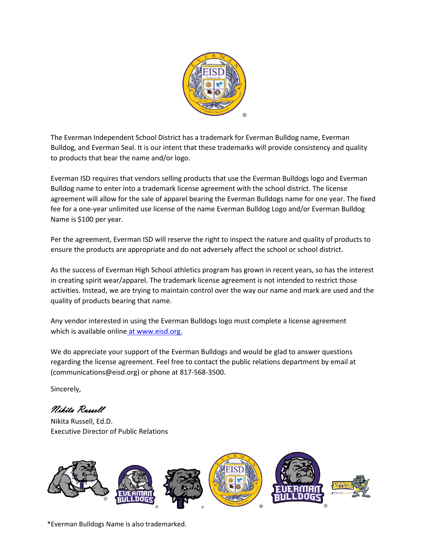

The Everman Independent School District has a trademark for Everman Bulldog name, Everman Bulldog, and Everman Seal. It is our intent that these trademarks will provide consistency and quality to products that bear the name and/or logo.

Everman ISD requires that vendors selling products that use the Everman Bulldogs logo and Everman Bulldog name to enter into a trademark license agreement with the school district. The license agreement will allow for the sale of apparel bearing the Everman Bulldogs name for one year. The fixed fee for a one-year unlimited use license of the name Everman Bulldog Logo and/or Everman Bulldog Name is \$100 per year.

Per the agreement, Everman ISD will reserve the right to inspect the nature and quality of products to ensure the products are appropriate and do not adversely affect the school or school district.

As the success of Everman High School athletics program has grown in recent years, so has the interest in creating spirit wear/apparel. The trademark license agreement is not intended to restrict those activities. Instead, we are trying to maintain control over the way our name and mark are used and the quality of products bearing that name.

Any vendor interested in using the Everman Bulldogs logo must complete a license agreement which is available online at www.eisd.org.

We do appreciate your support of the Everman Bulldogs and would be glad to answer questions regarding the license agreement. Feel free to contact the public relations department by email at (communications@eisd.org) or phone at 817-568-3500.

Sincerely,

Nikita Russell

Nikita Russell, Ed.D. Executive Director of Public Relations



\*Everman Bulldogs Name is also trademarked.